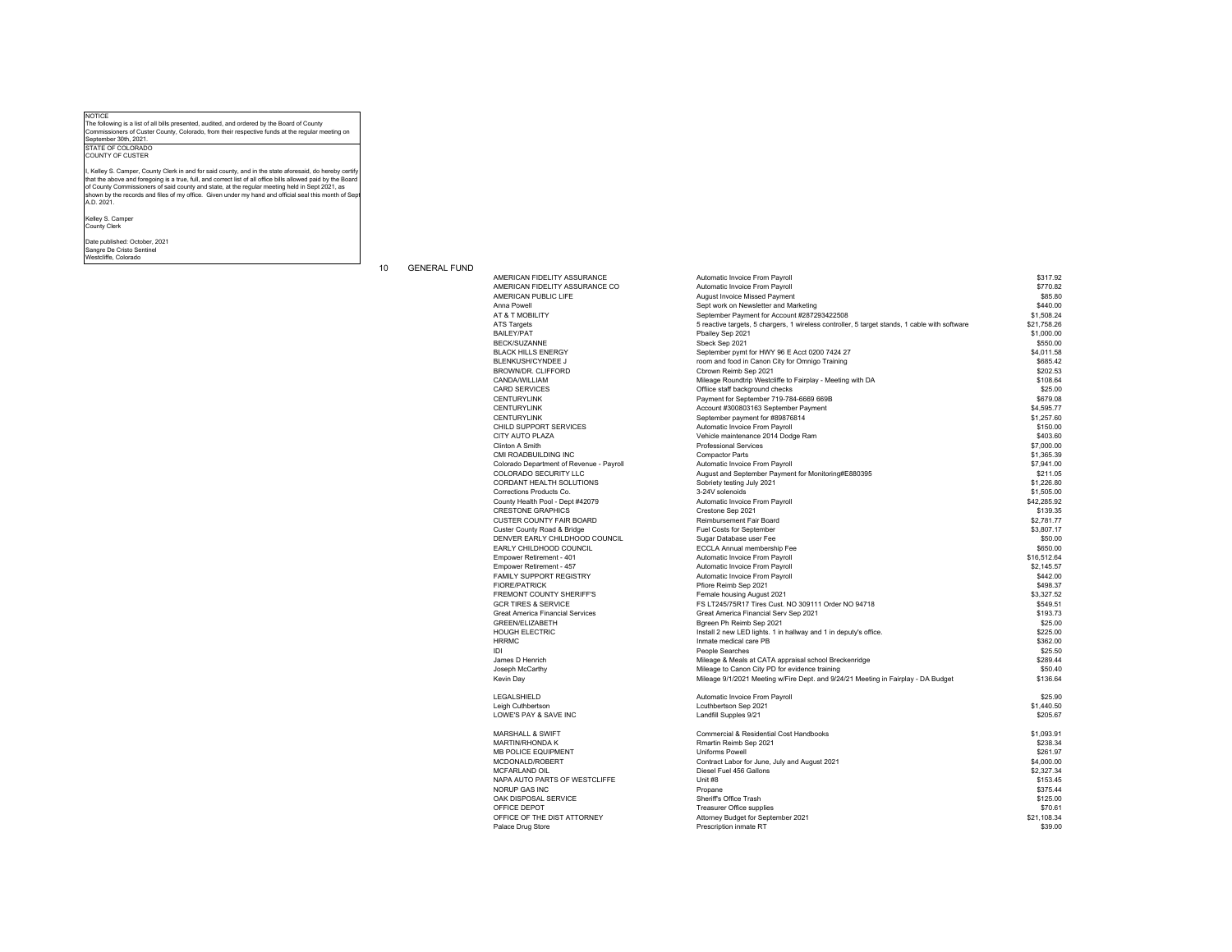## NOTICE The following is a list of all bills presented, audited, and ordered by the Board of County Commissioners of Custer County, Colorado, from their respective funds at the regular meeting on<br>Commissioners of Custer County, Colorado, from their respective funds at the regular meeting on

September 30th, 2021. STATE OF COLORADO

COUNTY OF CUSTER

I, Kelley S. Camper, County Clerk in and for said county, and in the state aforesaid, do hereby certif that the above and foregoing is a true, full, and correct list of all office bills allowed paid by the Board<br>of County Commissioners of said county and state, at the regular meeting held in Sept 2021, as<br>shown by the recor

Kelley S. Camper County Clerk

Date published: October, 2021 Sangre De Cristo Sentinel Westcliffe, Colorado

10 GENERAL FUND

AMERICAN FIDELITY ASSURANCE CO AMERICAN PUBLIC LIFE<br>Anna Powell BLACK HILLS ENERGY BLENKUSH/CYNDEE J BROWN/DR. CLIFFORD<br>CANDA/WILLIAM CHILD SUPPORT SERVICES<br>CITY AUTO PLAZA CMI ROADBUILDING INC Colorado Department of Revenue - Payroll COLORADO SECURITY LLC CORDANT HEALTH SOLUTIONS Corrections Products Co. County Health Pool - Dept #42079 CRESTONE GRAPHICS CUSTER COUNTY FAIR BOARD Custer County Road & Bridge DENVER EARLY CHILDHOOD COUNCIL EARLY CHILDHOOD COUNCIL Empower Retirement - 401 FREMONT COUNTY SHERIFF'S<br>GCR TIRES & SERVICE GORT TIRES & GERVIGE<br>Great America Financial Services GREEN/ELIZABETH<br>HOUGH ELECTRIC Leigh Cuthbertson Leigh Cumbertson<br>LOWE'S PAY & SAVE INC MARSHALL & SWIFT MARTIN/RHONDA K MB POLICE EQUIPMENT MCDONALD/ROBERT MCFARLAND OIL NAPA AUTO PARTS OF WESTCLIFFE

| AMERICAN FIDELITY ASSURANCE              | Automatic Invoice From Payroll                                                                | \$317.92    |
|------------------------------------------|-----------------------------------------------------------------------------------------------|-------------|
| AMERICAN FIDELITY ASSURANCE CO           | Automatic Invoice From Payroll                                                                | \$770.82    |
| AMERICAN PUBLIC LIFE                     | August Invoice Missed Payment                                                                 | \$85.80     |
| Anna Powell                              | Sept work on Newsletter and Marketing                                                         | \$440.00    |
| AT & T MOBILITY                          | September Payment for Account #287293422508                                                   | \$1,508.24  |
| <b>ATS Targets</b>                       | 5 reactive targets, 5 chargers, 1 wireless controller, 5 target stands, 1 cable with software | \$21.758.26 |
| <b>BAILEY/PAT</b>                        | Pbailey Sep 2021                                                                              | \$1,000.00  |
| <b>BECK/SUZANNE</b>                      | Sbeck Sep 2021                                                                                | \$550.00    |
| <b>BLACK HILLS ENERGY</b>                | September pymt for HWY 96 E Acct 0200 7424 27                                                 | \$4,011.58  |
| BLENKUSH/CYNDEE J                        | room and food in Canon City for Omnigo Training                                               | \$685.42    |
| BROWN/DR. CLIFFORD                       | Cbrown Reimb Sep 2021                                                                         | \$202.53    |
| CANDA/WILLIAM                            | Mileage Roundtrip Westcliffe to Fairplay - Meeting with DA                                    | \$108.64    |
| <b>CARD SERVICES</b>                     | Offiice staff background checks                                                               | \$25.00     |
| <b>CENTURYLINK</b>                       | Payment for September 719-784-6669 669B                                                       | \$679.08    |
| <b>CENTURYLINK</b>                       | Account #300803163 September Payment                                                          | \$4,595.77  |
| <b>CENTURYLINK</b>                       | September payment for #89876814                                                               | \$1,257.60  |
| CHILD SUPPORT SERVICES                   | Automatic Invoice From Payroll                                                                | \$150.00    |
| CITY AUTO PLAZA                          | Vehicle maintenance 2014 Dodge Ram                                                            | \$403.60    |
| Clinton A Smith                          | Professional Services                                                                         | \$7,000.00  |
| CMI ROADBUILDING INC                     | <b>Compactor Parts</b>                                                                        | \$1,365.39  |
| Colorado Department of Revenue - Payroll | Automatic Invoice From Payroll                                                                | \$7,941.00  |
| COLORADO SECURITY LLC                    | August and September Payment for Monitoring#E880395                                           | \$211.05    |
| CORDANT HEALTH SOLUTIONS                 | Sobriety testing July 2021                                                                    | \$1,226.80  |
| Corrections Products Co.                 | 3-24V solenoids                                                                               | \$1,505.00  |
| County Health Pool - Dept #42079         | Automatic Invoice From Payroll                                                                | \$42,285.92 |
| <b>CRESTONE GRAPHICS</b>                 | Crestone Sep 2021                                                                             | \$139.35    |
| <b>CUSTER COUNTY FAIR BOARD</b>          | Reimbursement Fair Board                                                                      | \$2,781.77  |
| Custer County Road & Bridge              | Fuel Costs for September                                                                      | \$3,807.17  |
| DENVER EARLY CHILDHOOD COUNCIL           | Sugar Database user Fee                                                                       | \$50.00     |
| EARLY CHILDHOOD COUNCIL                  | ECCLA Annual membership Fee                                                                   | \$650.00    |
| Empower Retirement - 401                 | Automatic Invoice From Payroll                                                                | \$16,512.64 |
| Empower Retirement - 457                 | Automatic Invoice From Payroll                                                                | \$2,145.57  |
| FAMILY SUPPORT REGISTRY                  | Automatic Invoice From Payroll                                                                | \$442.00    |
| <b>FIORE/PATRICK</b>                     | Pfiore Reimb Sep 2021                                                                         | \$498.37    |
| FREMONT COUNTY SHERIFF'S                 | Female housing August 2021                                                                    | \$3,327.52  |
| <b>GCR TIRES &amp; SERVICE</b>           | FS LT245/75R17 Tires Cust. NO 309111 Order NO 94718                                           | \$549.51    |
| <b>Great America Financial Services</b>  | Great America Financial Serv Sep 2021                                                         | \$193.73    |
| GREEN/ELIZABETH                          | Bgreen Ph Reimb Sep 2021                                                                      | \$25.00     |
| <b>HOUGH ELECTRIC</b>                    | Install 2 new LED lights. 1 in hallway and 1 in deputy's office.                              | \$225.00    |
| <b>HRRMC</b>                             | Inmate medical care PB                                                                        | \$362.00    |
| IDI                                      | People Searches                                                                               | \$25.50     |
| James D Henrich                          | Mileage & Meals at CATA appraisal school Breckenridge                                         | \$289.44    |
| Joseph McCarthy                          | Mileage to Canon City PD for evidence training                                                | \$50.40     |
| Kevin Day                                | Mileage 9/1/2021 Meeting w/Fire Dept. and 9/24/21 Meeting in Fairplay - DA Budget             | \$136.64    |
|                                          |                                                                                               |             |
| LEGALSHIELD                              | Automatic Invoice From Payroll                                                                | \$25.90     |
| Leigh Cuthbertson                        | Lcuthbertson Sep 2021                                                                         | \$1,440.50  |
| LOWE'S PAY & SAVE INC                    | Landfill Supples 9/21                                                                         | \$205.67    |
|                                          |                                                                                               |             |
| MARSHALL & SWIFT                         | Commercial & Residential Cost Handbooks                                                       | \$1,093.91  |
| MARTIN/RHONDA K                          | Rmartin Reimb Sep 2021                                                                        | \$238.34    |
| <b>MB POLICE EQUIPMENT</b>               | Uniforms Powell                                                                               | \$261.97    |
| MCDONALD/ROBERT                          | Contract Labor for June, July and August 2021                                                 | \$4,000.00  |
| MCFARLAND OIL                            | Diesel Fuel 456 Gallons                                                                       | \$2,327.34  |
| NAPA AUTO PARTS OF WESTCLIFFE            | Unit #8                                                                                       | \$153.45    |
| NORUP GAS INC                            | Propane                                                                                       | \$375.44    |
| OAK DISPOSAL SERVICE                     | Sheriff's Office Trash                                                                        | \$125.00    |
| OFFICE DEPOT                             | Treasurer Office supplies                                                                     | \$70.61     |
| OFFICE OF THE DIST ATTORNEY              | Attorney Budget for September 2021                                                            | \$21.108.34 |
| Palace Drug Store                        | Prescription inmate RT                                                                        | \$39.00     |
|                                          |                                                                                               |             |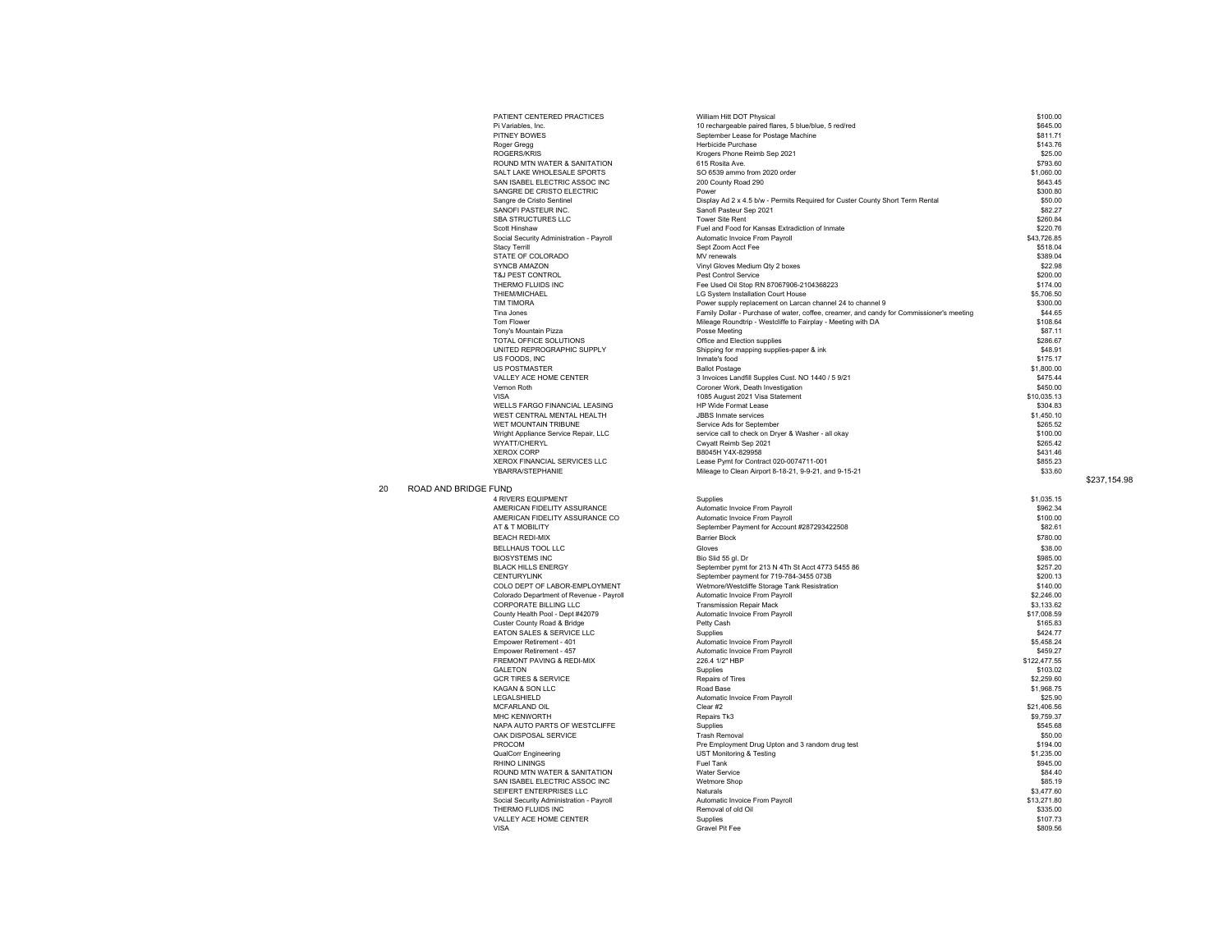|    |                      | PATIENT CENTERED PRACTICES                                    | William Hitt DOT Physical                                                                        | \$100.00                |              |
|----|----------------------|---------------------------------------------------------------|--------------------------------------------------------------------------------------------------|-------------------------|--------------|
|    |                      | Pi Variables, Inc.                                            | 10 rechargeable paired flares, 5 blue/blue, 5 red/red                                            | \$645.00                |              |
|    |                      | PITNEY BOWES                                                  | September Lease for Postage Machine                                                              | \$811.71                |              |
|    |                      | Roger Gregg                                                   | Herbicide Purchase                                                                               | \$143.76                |              |
|    |                      | ROGERS/KRIS                                                   | Krogers Phone Reimb Sep 2021                                                                     | \$25.00                 |              |
|    |                      | ROUND MTN WATER & SANITATION                                  | 615 Rosita Ave.                                                                                  | \$793.60                |              |
|    |                      | SALT LAKE WHOLESALE SPORTS                                    | SO 6539 ammo from 2020 order                                                                     | \$1,060.00              |              |
|    |                      | SAN ISABEL ELECTRIC ASSOC INC                                 | 200 County Road 290                                                                              | \$643.45                |              |
|    |                      | SANGRE DE CRISTO ELECTRIC                                     | Power<br>Display Ad 2 x 4.5 b/w - Permits Required for Custer County Short Term Rental           | \$300.80<br>\$50.00     |              |
|    |                      | Sangre de Cristo Sentinel<br>SANOFI PASTEUR INC.              | Sanofi Pasteur Sep 2021                                                                          | \$82.27                 |              |
|    |                      | SBA STRUCTURES LLC                                            | <b>Tower Site Rent</b>                                                                           | \$260.84                |              |
|    |                      | Scott Hinshaw                                                 | Fuel and Food for Kansas Extradiction of Inmate                                                  | \$220.76                |              |
|    |                      | Social Security Administration - Payroll                      | Automatic Invoice From Payroll                                                                   | \$43,726.85             |              |
|    |                      | <b>Stacy Terrill</b>                                          | Sept Zoom Acct Fee                                                                               | \$518.04                |              |
|    |                      | STATE OF COLORADO                                             | MV renewals                                                                                      | \$389.04                |              |
|    |                      | SYNCB AMAZON                                                  | Vinyl Gloves Medium Qty 2 boxes                                                                  | \$22.98                 |              |
|    |                      | T&J PEST CONTROL                                              | Pest Control Service                                                                             | \$200.00                |              |
|    |                      | THERMO FLUIDS INC<br>THIFM/MICHAFI                            | Fee Used Oil Stop RN 87067906-2104368223<br>LG System Installation Court House                   | \$174.00<br>\$5,706.50  |              |
|    |                      | <b>TIM TIMORA</b>                                             | Power supply replacement on Larcan channel 24 to channel 9                                       | \$300.00                |              |
|    |                      | Tina Jones                                                    | Family Dollar - Purchase of water, coffee, creamer, and candy for Commissioner's meeting         | \$44.65                 |              |
|    |                      | <b>Tom Flower</b>                                             | Mileage Roundtrip - Westcliffe to Fairplay - Meeting with DA                                     | \$108.64                |              |
|    |                      | Tony's Mountain Pizza                                         | Posse Meeting                                                                                    | \$87.11                 |              |
|    |                      | TOTAL OFFICE SOLUTIONS                                        | Office and Election supplies                                                                     | \$286.67                |              |
|    |                      | UNITED REPROGRAPHIC SUPPLY                                    | Shipping for mapping supplies-paper & ink                                                        | \$48.91                 |              |
|    |                      | US FOODS. INC                                                 | Inmate's food                                                                                    | \$175.17                |              |
|    |                      | <b>US POSTMASTER</b>                                          | <b>Ballot Postage</b>                                                                            | \$1,800.00              |              |
|    |                      | VALLEY ACE HOME CENTER<br>Vernon Roth                         | 3 Invoices Landfill Supples Cust. NO 1440 / 5 9/21<br>Coroner Work, Death Investigation          | \$475.44<br>\$450.00    |              |
|    |                      | VISA                                                          | 1085 August 2021 Visa Statement                                                                  | \$10,035.13             |              |
|    |                      | WELLS FARGO FINANCIAL LEASING                                 | HP Wide Format Lease                                                                             | \$304.83                |              |
|    |                      | WEST CENTRAL MENTAL HEALTH                                    | <b>JBBS</b> Inmate services                                                                      | \$1,450.10              |              |
|    |                      | WET MOUNTAIN TRIBUNE                                          | Service Ads for September                                                                        | \$265.52                |              |
|    |                      | Wright Appliance Service Repair, LLC                          | service call to check on Dryer & Washer - all okay                                               | \$100.00                |              |
|    |                      | WYATT/CHERYL                                                  | Cwyatt Reimb Sep 2021                                                                            | \$265.42                |              |
|    |                      | <b>XFROX CORP</b>                                             | B8045H Y4X-829958                                                                                | \$431.46                |              |
|    |                      | XEROX FINANCIAL SERVICES LLC<br>YBARRA/STEPHANIE              | Lease Pymt for Contract 020-0074711-001<br>Mileage to Clean Airport 8-18-21, 9-9-21, and 9-15-21 | \$855.23<br>\$33.60     |              |
|    |                      |                                                               |                                                                                                  |                         | \$237.154.98 |
| 20 | ROAD AND BRIDGE FUND |                                                               |                                                                                                  |                         |              |
|    |                      | 4 RIVERS EQUIPMENT                                            | Supplies                                                                                         | \$1,035.15              |              |
|    |                      | AMERICAN FIDELITY ASSURANCE                                   | Automatic Invoice From Payroll                                                                   | \$962.34                |              |
|    |                      | AMERICAN FIDELITY ASSURANCE CO.                               | Automatic Invoice From Pavroll                                                                   | \$100.00                |              |
|    |                      | AT & T MOBILITY<br><b>BEACH REDI-MIX</b>                      | September Payment for Account #287293422508<br><b>Barrier Block</b>                              | \$82.61<br>\$780.00     |              |
|    |                      |                                                               |                                                                                                  |                         |              |
|    |                      | BELLHAUS TOOL LLC<br><b>BIOSYSTEMS INC</b>                    | Gloves<br>Bio Slid 55 gl. Dr                                                                     | \$38.00<br>\$985.00     |              |
|    |                      | <b>BLACK HILLS ENERGY</b>                                     | September pymt for 213 N 4Th St Acct 4773 5455 86                                                | \$257.20                |              |
|    |                      | <b>CENTURYLINK</b>                                            | September payment for 719-784-3455 073B                                                          | \$200.13                |              |
|    |                      | COLO DEPT OF LABOR-EMPLOYMENT                                 | Wetmore/Westcliffe Storage Tank Resistration                                                     | \$140.00                |              |
|    |                      | Colorado Department of Revenue - Payroll                      | Automatic Invoice From Payroll                                                                   | \$2,246.00              |              |
|    |                      | CORPORATE BILLING LLC                                         | <b>Transmission Repair Mack</b>                                                                  | \$3,133.62              |              |
|    |                      | County Health Pool - Dept #42079                              | Automatic Invoice From Payroll                                                                   | \$17,008.59             |              |
|    |                      | Custer County Road & Bridge                                   | Petty Cash                                                                                       | \$165.83                |              |
|    |                      | EATON SALES & SERVICE LLC<br>Empower Retirement - 401         | Supplies<br>Automatic Invoice From Payroll                                                       | \$424.77<br>\$5,458.24  |              |
|    |                      | Empower Retirement - 457                                      | Automatic Invoice From Payroll                                                                   | \$459.27                |              |
|    |                      | FREMONT PAVING & REDI-MIX                                     | 226.4 1/2" HBP                                                                                   | \$122,477.55            |              |
|    |                      | GALETON                                                       | Supplies                                                                                         | \$103.02                |              |
|    |                      | <b>GCR TIRES &amp; SERVICE</b>                                | Repairs of Tires                                                                                 | \$2,259.60              |              |
|    |                      | KAGAN & SON LLC                                               | Road Base                                                                                        | \$1,968.75              |              |
|    |                      | LEGALSHIELD                                                   | Automatic Invoice From Payroll                                                                   | \$25.90                 |              |
|    |                      | MCFARLAND OIL                                                 | Clear #2                                                                                         | \$21,406.56             |              |
|    |                      | MHC KFNWORTH<br>NAPA AUTO PARTS OF WESTCLIFFE                 | Repairs Tk3                                                                                      | \$9,759.37              |              |
|    |                      | OAK DISPOSAL SERVICE                                          | Supplies<br><b>Trash Removal</b>                                                                 | \$545.68<br>\$50.00     |              |
|    |                      | PROCOM                                                        | Pre Employment Drug Upton and 3 random drug test                                                 | \$194.00                |              |
|    |                      | <b>QualCorr Engineering</b>                                   | <b>UST Monitoring &amp; Testing</b>                                                              | \$1,235.00              |              |
|    |                      | RHINO LININGS                                                 | Fuel Tank                                                                                        | \$945.00                |              |
|    |                      | ROUND MTN WATER & SANITATION                                  | <b>Water Service</b>                                                                             | \$84.40                 |              |
|    |                      | SAN ISABEL ELECTRIC ASSOC INC                                 | Wetmore Shop                                                                                     | \$85.19                 |              |
|    |                      | SEIFERT ENTERPRISES LLC                                       | Naturals                                                                                         | \$3,477.60              |              |
|    |                      | Social Security Administration - Payroll<br>THERMO FLUIDS INC | Automatic Invoice From Payroll<br>Removal of old Oil                                             | \$13,271.80<br>\$335.00 |              |
|    |                      | VALLEY ACE HOME CENTER                                        | Supplies                                                                                         | \$107.73                |              |
|    |                      | <b>VISA</b>                                                   | Gravel Pit Fee                                                                                   | \$809.56                |              |
|    |                      |                                                               |                                                                                                  |                         |              |